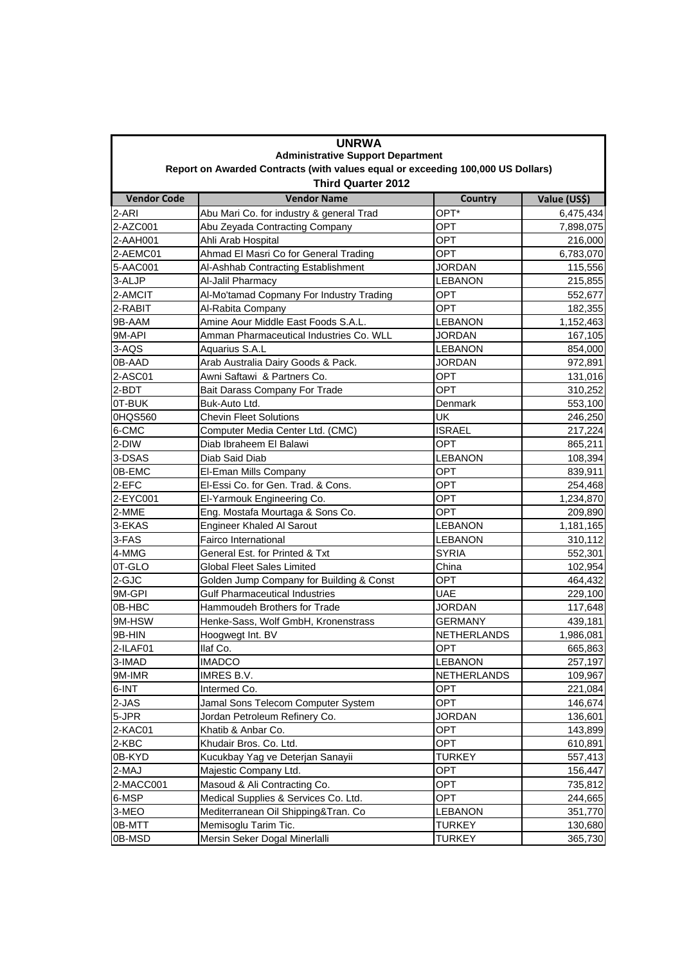| <b>UNRWA</b><br><b>Administrative Support Department</b><br>Report on Awarded Contracts (with values equal or exceeding 100,000 US Dollars) |                                          |                    |           |  |
|---------------------------------------------------------------------------------------------------------------------------------------------|------------------------------------------|--------------------|-----------|--|
|                                                                                                                                             |                                          |                    |           |  |
| 2-ARI                                                                                                                                       | Abu Mari Co. for industry & general Trad | OPT*               | 6,475,434 |  |
| 2-AZC001                                                                                                                                    | Abu Zeyada Contracting Company           | OPT                | 7,898,075 |  |
| 2-AAH001                                                                                                                                    | Ahli Arab Hospital                       | OPT                | 216,000   |  |
| 2-AEMC01                                                                                                                                    | Ahmad El Masri Co for General Trading    | <b>OPT</b>         | 6,783,070 |  |
| 5-AAC001                                                                                                                                    | Al-Ashhab Contracting Establishment      | <b>JORDAN</b>      | 115,556   |  |
| 3-ALJP                                                                                                                                      | Al-Jalil Pharmacy                        | <b>LEBANON</b>     | 215,855   |  |
| 2-AMCIT                                                                                                                                     | Al-Mo'tamad Copmany For Industry Trading | OPT                | 552,677   |  |
| 2-RABIT                                                                                                                                     | Al-Rabita Company                        | <b>OPT</b>         | 182,355   |  |
| 9B-AAM                                                                                                                                      | Amine Aour Middle East Foods S.A.L.      | <b>LEBANON</b>     | 1,152,463 |  |
| 9M-API                                                                                                                                      | Amman Pharmaceutical Industries Co. WLL  | <b>JORDAN</b>      | 167,105   |  |
| 3-AQS                                                                                                                                       | Aquarius S.A.L                           | <b>LEBANON</b>     | 854,000   |  |
| 0B-AAD                                                                                                                                      | Arab Australia Dairy Goods & Pack.       | <b>JORDAN</b>      | 972,891   |  |
| 2-ASC01                                                                                                                                     | Awni Saftawi & Partners Co.              | OPT                | 131,016   |  |
| 2-BDT                                                                                                                                       | Bait Darass Company For Trade            | OPT                | 310,252   |  |
| 0T-BUK                                                                                                                                      | Buk-Auto Ltd.                            | Denmark            | 553,100   |  |
| 0HQS560                                                                                                                                     | <b>Chevin Fleet Solutions</b>            | UK                 | 246,250   |  |
| 6-CMC                                                                                                                                       | Computer Media Center Ltd. (CMC)         | <b>ISRAEL</b>      | 217,224   |  |
| 2-DIW                                                                                                                                       | Diab Ibraheem El Balawi                  | OPT                | 865,211   |  |
| 3-DSAS                                                                                                                                      | Diab Said Diab                           | <b>LEBANON</b>     | 108,394   |  |
| 0B-EMC                                                                                                                                      | El-Eman Mills Company                    | <b>OPT</b>         | 839,911   |  |
| 2-EFC                                                                                                                                       | El-Essi Co. for Gen. Trad. & Cons.       | <b>OPT</b>         | 254,468   |  |
| 2-EYC001                                                                                                                                    | El-Yarmouk Engineering Co.               | <b>OPT</b>         | 1,234,870 |  |
| 2-MME                                                                                                                                       | Eng. Mostafa Mourtaga & Sons Co.         | <b>OPT</b>         | 209,890   |  |
| 3-EKAS                                                                                                                                      | <b>Engineer Khaled Al Sarout</b>         | <b>LEBANON</b>     | 1,181,165 |  |
| 3-FAS                                                                                                                                       | Fairco International                     | <b>LEBANON</b>     | 310,112   |  |
| 4-MMG                                                                                                                                       | General Est. for Printed & Txt           | SYRIA              | 552,301   |  |
| 0T-GLO                                                                                                                                      | Global Fleet Sales Limited               | China              | 102,954   |  |
| 2-GJC                                                                                                                                       | Golden Jump Company for Building & Const | OPT                | 464,432   |  |
| 9M-GPI                                                                                                                                      | <b>Gulf Pharmaceutical Industries</b>    | UAE                | 229,100   |  |
| 0B-HBC                                                                                                                                      | Hammoudeh Brothers for Trade             | <b>JORDAN</b>      | 117,648   |  |
| 9M-HSW                                                                                                                                      | Henke-Sass, Wolf GmbH, Kronenstrass      | <b>GERMANY</b>     | 439,181   |  |
| 9B-HIN                                                                                                                                      | Hoogwegt Int. BV                         | <b>NETHERLANDS</b> | 1,986,081 |  |
| 2-ILAF01                                                                                                                                    | llaf Co.                                 | OPT                | 665,863   |  |
| 3-IMAD                                                                                                                                      | <b>IMADCO</b>                            | <b>LEBANON</b>     | 257,197   |  |
| 9M-IMR                                                                                                                                      | IMRES B.V.                               | NETHERLANDS        | 109,967   |  |
| 6-INT                                                                                                                                       | Intermed Co.                             | OPT                | 221,084   |  |
| 2-JAS                                                                                                                                       | Jamal Sons Telecom Computer System       | OPT                | 146,674   |  |
| 5-JPR                                                                                                                                       | Jordan Petroleum Refinery Co.            | <b>JORDAN</b>      | 136,601   |  |
| 2-KAC01                                                                                                                                     | Khatib & Anbar Co.                       | OPT                | 143,899   |  |
| 2-KBC                                                                                                                                       | Khudair Bros. Co. Ltd.                   | OPT                | 610,891   |  |
| 0B-KYD                                                                                                                                      | Kucukbay Yag ve Deterjan Sanayii         | <b>TURKEY</b>      | 557,413   |  |
| 2-MAJ                                                                                                                                       | Majestic Company Ltd.                    | OPT                | 156,447   |  |
| 2-MACC001                                                                                                                                   | Masoud & Ali Contracting Co.             | OPT                | 735,812   |  |
| 6-MSP                                                                                                                                       | Medical Supplies & Services Co. Ltd.     | OPT                | 244,665   |  |
| 3-MEO                                                                                                                                       | Mediterranean Oil Shipping&Tran. Co      | LEBANON            | 351,770   |  |
| 0B-MTT                                                                                                                                      | Memisoglu Tarim Tic.                     | <b>TURKEY</b>      | 130,680   |  |
| 0B-MSD                                                                                                                                      | Mersin Seker Dogal Minerlalli            | <b>TURKEY</b>      | 365,730   |  |